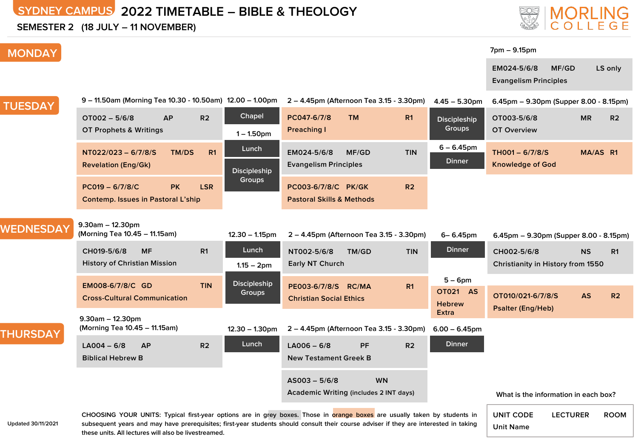# **SYDNEY CAMPUS 2022 TIMETABLE – BIBLE & THEOLOGY**

**SEMESTER 2 (18 JULY – 11 NOVEMBER)**

# **MORLING**<br>COLLEGE

#### **7pm – 9.15pm**

**EM024-5/6/8 MF/GD LS only Evangelism Principles**

| <b>TUESDAY</b>  | 9 - 11.50am (Morning Tea 10.30 - 10.50am) 12.00 - 1.00pm             |                                           | 2 – 4.45pm (Afternoon Tea 3.15 - 3.30pm)                                                                                                                 |                | $4.45 - 5.30$ pm                               | 6.45pm - 9.30pm (Supper 8.00 - 8.15pm)           |                             |
|-----------------|----------------------------------------------------------------------|-------------------------------------------|----------------------------------------------------------------------------------------------------------------------------------------------------------|----------------|------------------------------------------------|--------------------------------------------------|-----------------------------|
|                 | $OT002 - 5/6/8$<br><b>AP</b><br>OT Prophets & Writings               | Chapel<br>R <sub>2</sub><br>$1 - 1.50$ pm | PC047-6/7/8<br><b>TM</b><br><b>Preaching I</b>                                                                                                           | R <sub>1</sub> | <b>Discipleship</b><br>Groups                  | OT003-5/6/8<br><b>OT Overview</b>                | <b>MR</b><br>R <sub>2</sub> |
|                 | NT022/023 - 6/7/8/S<br>TM/DS<br><b>Revelation (Eng/Gk)</b>           | Lunch<br>R1<br><b>Discipleship</b>        | MF/GD<br>EM024-5/6/8<br><b>Evangelism Principles</b>                                                                                                     | <b>TIN</b>     | $6 - 6.45$ pm<br><b>Dinner</b>                 | $THOO1 - 6/7/8/S$<br><b>Knowledge of God</b>     | MA/AS R1                    |
|                 | $PC019 - 6/7/8/C$<br><b>PK</b><br>Contemp. Issues in Pastoral L'ship | Groups<br><b>LSR</b>                      | PC003-6/7/8/C PK/GK<br><b>Pastoral Skills &amp; Methods</b>                                                                                              | R <sub>2</sub> |                                                |                                                  |                             |
| WEDNESDAY       | $9.30$ am - 12.30pm<br>(Morning Tea 10.45 - 11.15am)                 | $12.30 - 1.15$ pm                         | 2 - 4.45pm (Afternoon Tea 3.15 - 3.30pm)                                                                                                                 |                | $6 - 6.45$ pm                                  | 6.45pm - 9.30pm (Supper 8.00 - 8.15pm)           |                             |
|                 | CH019-5/6/8<br><b>MF</b><br><b>History of Christian Mission</b>      | Lunch<br>R <sub>1</sub><br>$1.15 - 2pm$   | NT002-5/6/8<br>TM/GD<br>Early NT Church                                                                                                                  | <b>TIN</b>     | <b>Dinner</b>                                  | CH002-5/6/8<br>Christianity in History from 1550 | <b>NS</b><br>R <sub>1</sub> |
|                 | EM008-6/7/8/C GD<br><b>Cross-Cultural Communication</b>              | Discipleship<br><b>TIN</b><br>Groups      | PE003-6/7/8/S RC/MA<br><b>Christian Social Ethics</b>                                                                                                    | R <sub>1</sub> | $5 - 6$ pm<br><b>OT021 AS</b><br><b>Hebrew</b> | OT010/021-6/7/8/S<br><b>Psalter (Eng/Heb)</b>    | <b>AS</b><br>R <sub>2</sub> |
| <b>THURSDAY</b> | $9.30$ am - 12.30pm<br>(Morning Tea 10.45 - 11.15am)                 | $12.30 - 1.30$ pm                         | 2 – 4.45pm (Afternoon Tea 3.15 - 3.30pm)                                                                                                                 |                | <b>Extra</b><br>$6.00 - 6.45$ pm               |                                                  |                             |
|                 | $LA004 - 6/8$<br><b>AP</b><br><b>Biblical Hebrew B</b>               | Lunch<br>R <sub>2</sub>                   | $LA006 - 6/8$<br><b>PF</b><br><b>New Testament Greek B</b>                                                                                               | R2             | <b>Dinner</b>                                  |                                                  |                             |
|                 |                                                                      |                                           | <b>WN</b><br>$AS003 - 5/6/8$<br><b>Academic Writing (includes 2 INT days)</b><br>the company's company's company's<br>the company's company's support of |                |                                                | What is the information in each box?             |                             |

**Updated 30/11/2021**

**MONDAY**

CHOOSING YOUR UNITS: Typical first-year options are in grey boxes. Those in orange boxes are usually taken by students in subsequent years and may have prerequisites; first-year students should consult their course adviser if they are interested in taking **these units. All lectures will also be livestreamed.**

**UNIT CODE LECTURER ROOM**

**Unit Name**